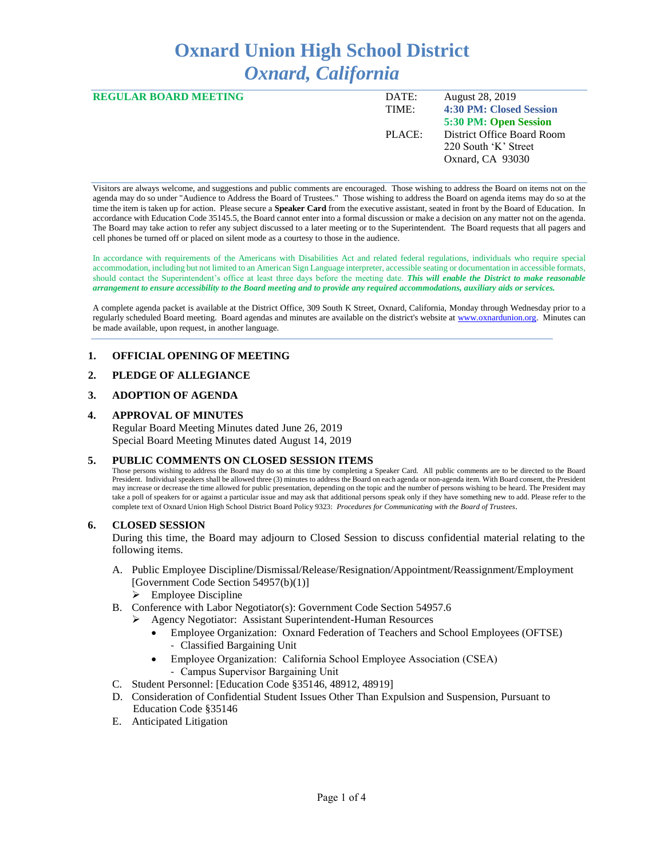# **Oxnard Union High School District** *Oxnard, California*

| <b>REGULAR BOARD MEETING</b> | DATE:  | <b>August 28, 2019</b>     |
|------------------------------|--------|----------------------------|
|                              | TIME:  | 4:30 PM: Closed Session    |
|                              |        | 5:30 PM: Open Session      |
|                              | PLACE: | District Office Board Room |
|                              |        | 220 South 'K' Street       |
|                              |        | Oxnard, CA 93030           |
|                              |        |                            |

Visitors are always welcome, and suggestions and public comments are encouraged. Those wishing to address the Board on items not on the agenda may do so under "Audience to Address the Board of Trustees." Those wishing to address the Board on agenda items may do so at the time the item is taken up for action. Please secure a **Speaker Card** from the executive assistant, seated in front by the Board of Education. In accordance with Education Code 35145.5, the Board cannot enter into a formal discussion or make a decision on any matter not on the agenda. The Board may take action to refer any subject discussed to a later meeting or to the Superintendent. The Board requests that all pagers and cell phones be turned off or placed on silent mode as a courtesy to those in the audience.

In accordance with requirements of the Americans with Disabilities Act and related federal regulations, individuals who require special accommodation, including but not limited to an American Sign Language interpreter, accessible seating or documentation in accessible formats, should contact the Superintendent's office at least three days before the meeting date. *This will enable the District to make reasonable arrangement to ensure accessibility to the Board meeting and to provide any required accommodations, auxiliary aids or services.* 

A complete agenda packet is available at the District Office, 309 South K Street, Oxnard, California, Monday through Wednesday prior to a regularly scheduled Board meeting. Board agendas and minutes are available on the district's website a[t www.ox](http://www.o/)nardunion.org.Minutes can be made available, upon request, in another language.

#### **1. OFFICIAL OPENING OF MEETING**

#### **2. PLEDGE OF ALLEGIANCE**

#### **3. ADOPTION OF AGENDA**

#### **4. APPROVAL OF MINUTES**

Regular Board Meeting Minutes dated June 26, 2019 Special Board Meeting Minutes dated August 14, 2019

#### **5. PUBLIC COMMENTS ON CLOSED SESSION ITEMS**

Those persons wishing to address the Board may do so at this time by completing a Speaker Card. All public comments are to be directed to the Board President. Individual speakers shall be allowed three (3) minutes to address the Board on each agenda or non-agenda item. With Board consent, the President may increase or decrease the time allowed for public presentation, depending on the topic and the number of persons wishing to be heard. The President may take a poll of speakers for or against a particular issue and may ask that additional persons speak only if they have something new to add. Please refer to the complete text of Oxnard Union High School District Board Policy 9323: *Procedures for Communicating with the Board of Trustees*.

#### **6. CLOSED SESSION**

During this time, the Board may adjourn to Closed Session to discuss confidential material relating to the following items.

- A. Public Employee Discipline/Dismissal/Release/Resignation/Appointment/Reassignment/Employment [Government Code Section 54957(b)(1)]
	- $\triangleright$  Employee Discipline
- B. Conference with Labor Negotiator(s): Government Code Section 54957.6
	- ➢ Agency Negotiator: Assistant Superintendent-Human Resources
		- Employee Organization: Oxnard Federation of Teachers and School Employees (OFTSE) - Classified Bargaining Unit
		- Employee Organization: California School Employee Association (CSEA) - Campus Supervisor Bargaining Unit
- C. Student Personnel: [Education Code §35146, 48912, 48919]
- D. Consideration of Confidential Student Issues Other Than Expulsion and Suspension, Pursuant to Education Code §35146
- E. Anticipated Litigation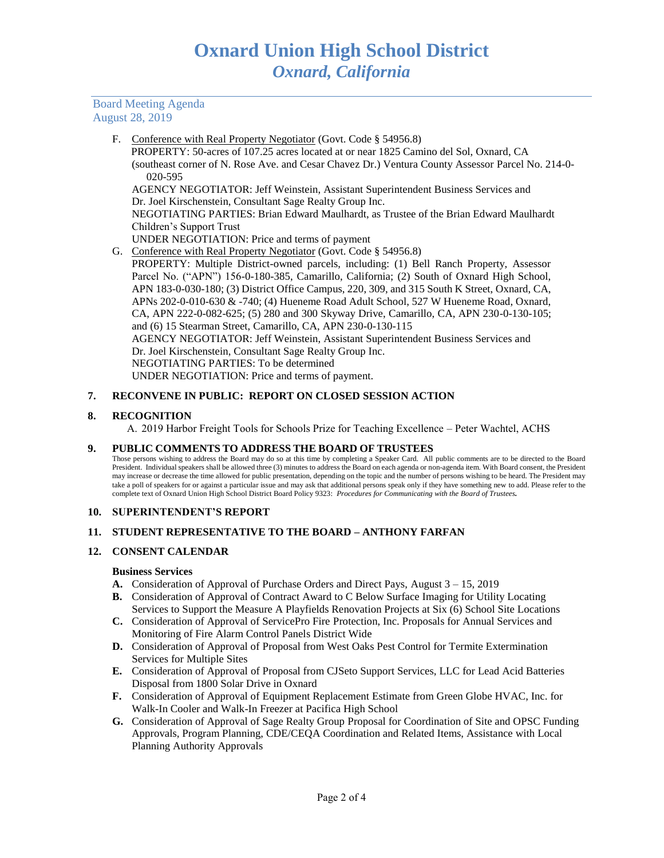Board Meeting Agenda August 28, 2019

F. Conference with Real Property Negotiator (Govt. Code § 54956.8)

 PROPERTY: 50-acres of 107.25 acres located at or near 1825 Camino del Sol, Oxnard, CA (southeast corner of N. Rose Ave. and Cesar Chavez Dr.) Ventura County Assessor Parcel No. 214-0- 020-595

AGENCY NEGOTIATOR: Jeff Weinstein, Assistant Superintendent Business Services and Dr. Joel Kirschenstein, Consultant Sage Realty Group Inc.

NEGOTIATING PARTIES: Brian Edward Maulhardt, as Trustee of the Brian Edward Maulhardt Children's Support Trust

UNDER NEGOTIATION: Price and terms of payment

G. Conference with Real Property Negotiator (Govt. Code § 54956.8)

PROPERTY: Multiple District-owned parcels, including: (1) Bell Ranch Property, Assessor Parcel No. ("APN") 156-0-180-385, Camarillo, California; (2) South of Oxnard High School, APN 183-0-030-180; (3) District Office Campus, 220, 309, and 315 South K Street, Oxnard, CA, APNs 202-0-010-630 & -740; (4) Hueneme Road Adult School, 527 W Hueneme Road, Oxnard, CA, APN 222-0-082-625; (5) 280 and 300 Skyway Drive, Camarillo, CA, APN 230-0-130-105; and (6) 15 Stearman Street, Camarillo, CA, APN 230-0-130-115 AGENCY NEGOTIATOR: Jeff Weinstein, Assistant Superintendent Business Services and Dr. Joel Kirschenstein, Consultant Sage Realty Group Inc. NEGOTIATING PARTIES: To be determined UNDER NEGOTIATION: Price and terms of payment.

## **7. RECONVENE IN PUBLIC: REPORT ON CLOSED SESSION ACTION**

## **8. RECOGNITION**

A. 2019 Harbor Freight Tools for Schools Prize for Teaching Excellence – Peter Wachtel, ACHS

#### **9. PUBLIC COMMENTS TO ADDRESS THE BOARD OF TRUSTEES**

Those persons wishing to address the Board may do so at this time by completing a Speaker Card. All public comments are to be directed to the Board President. Individual speakers shall be allowed three (3) minutes to address the Board on each agenda or non-agenda item. With Board consent, the President may increase or decrease the time allowed for public presentation, depending on the topic and the number of persons wishing to be heard. The President may take a poll of speakers for or against a particular issue and may ask that additional persons speak only if they have something new to add. Please refer to the complete text of Oxnard Union High School District Board Policy 9323: *Procedures for Communicating with the Board of Trustees.*

#### **10. SUPERINTENDENT'S REPORT**

# **11. STUDENT REPRESENTATIVE TO THE BOARD – ANTHONY FARFAN**

# **12. CONSENT CALENDAR**

# **Business Services**

- **A.** Consideration of Approval of Purchase Orders and Direct Pays, August 3 15, 2019
- **B.** Consideration of Approval of Contract Award to C Below Surface Imaging for Utility Locating Services to Support the Measure A Playfields Renovation Projects at Six (6) School Site Locations
- **C.** Consideration of Approval of ServicePro Fire Protection, Inc. Proposals for Annual Services and Monitoring of Fire Alarm Control Panels District Wide
- **D.** Consideration of Approval of Proposal from West Oaks Pest Control for Termite Extermination Services for Multiple Sites
- **E.** Consideration of Approval of Proposal from CJSeto Support Services, LLC for Lead Acid Batteries Disposal from 1800 Solar Drive in Oxnard
- **F.** Consideration of Approval of Equipment Replacement Estimate from Green Globe HVAC, Inc. for Walk-In Cooler and Walk-In Freezer at Pacifica High School
- **G.** Consideration of Approval of Sage Realty Group Proposal for Coordination of Site and OPSC Funding Approvals, Program Planning, CDE/CEQA Coordination and Related Items, Assistance with Local Planning Authority Approvals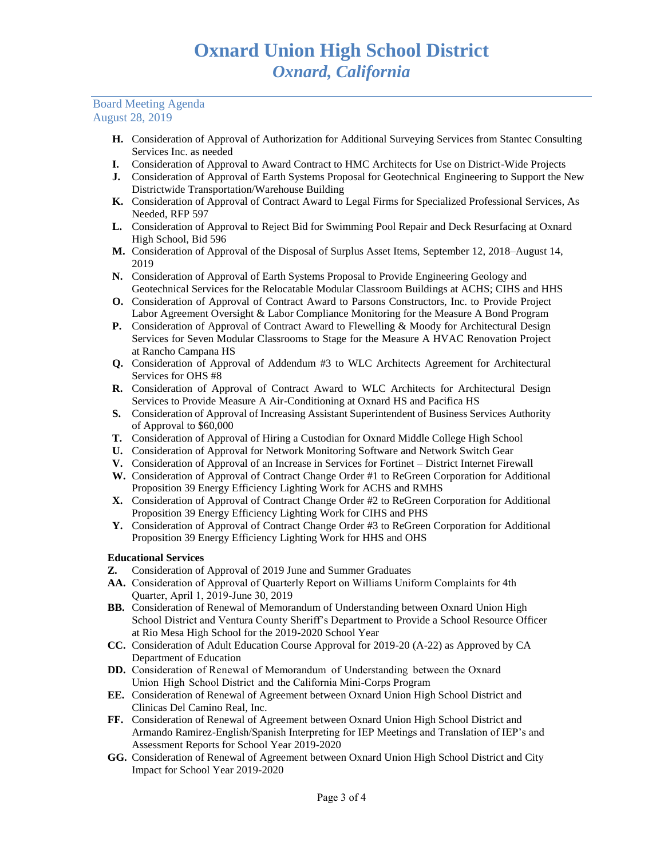#### Board Meeting Agenda August 28, 2019

- **H.** Consideration of Approval of Authorization for Additional Surveying Services from Stantec Consulting Services Inc. as needed
- **I.** Consideration of Approval to Award Contract to HMC Architects for Use on District-Wide Projects
- **J.** Consideration of Approval of Earth Systems Proposal for Geotechnical Engineering to Support the New Districtwide Transportation/Warehouse Building
- **K.** Consideration of Approval of Contract Award to Legal Firms for Specialized Professional Services, As Needed, RFP 597
- **L.** Consideration of Approval to Reject Bid for Swimming Pool Repair and Deck Resurfacing at Oxnard High School, Bid 596
- **M.** Consideration of Approval of the Disposal of Surplus Asset Items, September 12, 2018–August 14, 2019
- **N.** Consideration of Approval of Earth Systems Proposal to Provide Engineering Geology and Geotechnical Services for the Relocatable Modular Classroom Buildings at ACHS; CIHS and HHS
- **O.** Consideration of Approval of Contract Award to Parsons Constructors, Inc. to Provide Project Labor Agreement Oversight & Labor Compliance Monitoring for the Measure A Bond Program
- **P.** Consideration of Approval of Contract Award to Flewelling & Moody for Architectural Design Services for Seven Modular Classrooms to Stage for the Measure A HVAC Renovation Project at Rancho Campana HS
- **Q.** Consideration of Approval of Addendum #3 to WLC Architects Agreement for Architectural Services for OHS #8
- **R.** Consideration of Approval of Contract Award to WLC Architects for Architectural Design Services to Provide Measure A Air-Conditioning at Oxnard HS and Pacifica HS
- **S.** Consideration of Approval of Increasing Assistant Superintendent of Business Services Authority of Approval to \$60,000
- **T.** Consideration of Approval of Hiring a Custodian for Oxnard Middle College High School
- **U.** Consideration of Approval for Network Monitoring Software and Network Switch Gear
- **V.** Consideration of Approval of an Increase in Services for Fortinet District Internet Firewall
- **W.** Consideration of Approval of Contract Change Order #1 to ReGreen Corporation for Additional Proposition 39 Energy Efficiency Lighting Work for ACHS and RMHS
- **X.** Consideration of Approval of Contract Change Order #2 to ReGreen Corporation for Additional Proposition 39 Energy Efficiency Lighting Work for CIHS and PHS
- **Y.** Consideration of Approval of Contract Change Order #3 to ReGreen Corporation for Additional Proposition 39 Energy Efficiency Lighting Work for HHS and OHS

#### **Educational Services**

- **Z.** Consideration of Approval of 2019 June and Summer Graduates
- **AA.** Consideration of Approval of Quarterly Report on Williams Uniform Complaints for 4th Quarter, April 1, 2019-June 30, 2019
- **BB.** Consideration of Renewal of Memorandum of Understanding between Oxnard Union High School District and Ventura County Sheriff's Department to Provide a School Resource Officer at Rio Mesa High School for the 2019-2020 School Year
- **CC.** Consideration of Adult Education Course Approval for 2019-20 (A-22) as Approved by CA Department of Education
- **DD.** Consideration of Renewal of Memorandum of Understanding between the Oxnard Union High School District and the California Mini-Corps Program
- **EE.** Consideration of Renewal of Agreement between Oxnard Union High School District and Clinicas Del Camino Real, Inc.
- **FF.** Consideration of Renewal of Agreement between Oxnard Union High School District and Armando Ramirez-English/Spanish Interpreting for IEP Meetings and Translation of IEP's and Assessment Reports for School Year 2019-2020
- **GG.** Consideration of Renewal of Agreement between Oxnard Union High School District and City Impact for School Year 2019-2020